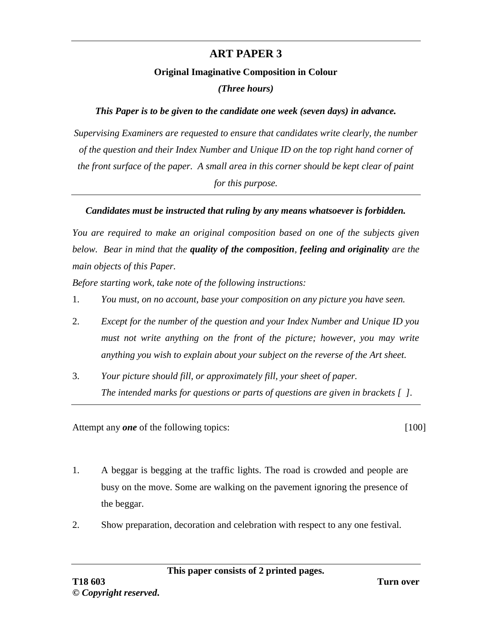## **ART PAPER 3**

## **Original Imaginative Composition in Colour**

*(Three hours)*

## *This Paper is to be given to the candidate one week (seven days) in advance.*

*Supervising Examiners are requested to ensure that candidates write clearly, the number of the question and their Index Number and Unique ID on the top right hand corner of the front surface of the paper. A small area in this corner should be kept clear of paint for this purpose.*

## *Candidates must be instructed that ruling by any means whatsoever is forbidden.*

*You are required to make an original composition based on one of the subjects given below. Bear in mind that the quality of the composition, feeling and originality are the main objects of this Paper.*

*Before starting work, take note of the following instructions:*

- 1. *You must, on no account, base your composition on any picture you have seen.*
- 2. *Except for the number of the question and your Index Number and Unique ID you must not write anything on the front of the picture; however, you may write anything you wish to explain about your subject on the reverse of the Art sheet.*
- 3. *Your picture should fill, or approximately fill, your sheet of paper. The intended marks for questions or parts of questions are given in brackets [ ].*

Attempt any *one* of the following topics: [100]

- 1. A beggar is begging at the traffic lights. The road is crowded and people are busy on the move. Some are walking on the pavement ignoring the presence of the beggar.
- 2. Show preparation, decoration and celebration with respect to any one festival.

**This paper consists of 2 printed pages.**